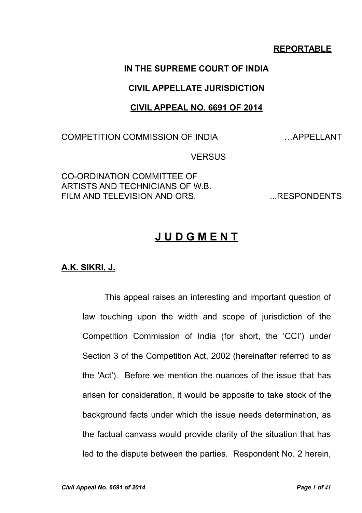## **REPORTABLE**

## **IN THE SUPREME COURT OF INDIA**

## **CIVIL APPELLATE JURISDICTION**

### **CIVIL APPEAL NO. 6691 OF 2014**

COMPETITION COMMISSION OF INDIA …APPELLANT

**VERSUS** 

CO-ORDINATION COMMITTEE OF ARTISTS AND TECHNICIANS OF W.B. FILM AND TELEVISION AND ORS. THE MANUSCRIPTS

# **J U D G M E N T**

**A.K. SIKRI, J.**

This appeal raises an interesting and important question of law touching upon the width and scope of jurisdiction of the Competition Commission of India (for short, the 'CCI') under Section 3 of the Competition Act, 2002 (hereinafter referred to as the 'Act'). Before we mention the nuances of the issue that has arisen for consideration, it would be apposite to take stock of the background facts under which the issue needs determination, as the factual canvass would provide clarity of the situation that has led to the dispute between the parties. Respondent No. 2 herein,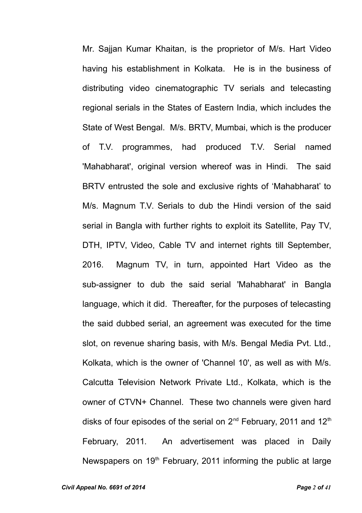Mr. Sajjan Kumar Khaitan, is the proprietor of M/s. Hart Video having his establishment in Kolkata. He is in the business of distributing video cinematographic TV serials and telecasting regional serials in the States of Eastern India, which includes the State of West Bengal. M/s. BRTV, Mumbai, which is the producer of T.V. programmes, had produced T.V. Serial named 'Mahabharat', original version whereof was in Hindi. The said BRTV entrusted the sole and exclusive rights of 'Mahabharat' to M/s. Magnum T.V. Serials to dub the Hindi version of the said serial in Bangla with further rights to exploit its Satellite, Pay TV, DTH, IPTV, Video, Cable TV and internet rights till September, 2016. Magnum TV, in turn, appointed Hart Video as the sub-assigner to dub the said serial 'Mahabharat' in Bangla language, which it did. Thereafter, for the purposes of telecasting the said dubbed serial, an agreement was executed for the time slot, on revenue sharing basis, with M/s. Bengal Media Pvt. Ltd., Kolkata, which is the owner of 'Channel 10', as well as with M/s. Calcutta Television Network Private Ltd., Kolkata, which is the owner of CTVN+ Channel. These two channels were given hard disks of four episodes of the serial on 2<sup>nd</sup> February, 2011 and 12<sup>th</sup> February, 2011. An advertisement was placed in Daily Newspapers on  $19<sup>th</sup>$  February, 2011 informing the public at large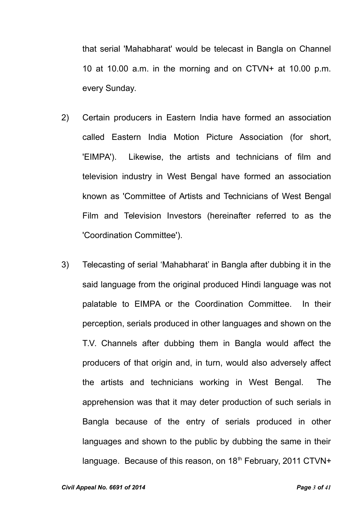that serial 'Mahabharat' would be telecast in Bangla on Channel 10 at 10.00 a.m. in the morning and on CTVN+ at 10.00 p.m. every Sunday.

- 2) Certain producers in Eastern India have formed an association called Eastern India Motion Picture Association (for short, 'EIMPA'). Likewise, the artists and technicians of film and television industry in West Bengal have formed an association known as 'Committee of Artists and Technicians of West Bengal Film and Television Investors (hereinafter referred to as the 'Coordination Committee').
- 3) Telecasting of serial 'Mahabharat' in Bangla after dubbing it in the said language from the original produced Hindi language was not palatable to EIMPA or the Coordination Committee. In their perception, serials produced in other languages and shown on the T.V. Channels after dubbing them in Bangla would affect the producers of that origin and, in turn, would also adversely affect the artists and technicians working in West Bengal. The apprehension was that it may deter production of such serials in Bangla because of the entry of serials produced in other languages and shown to the public by dubbing the same in their language. Because of this reason, on 18<sup>th</sup> February, 2011 CTVN+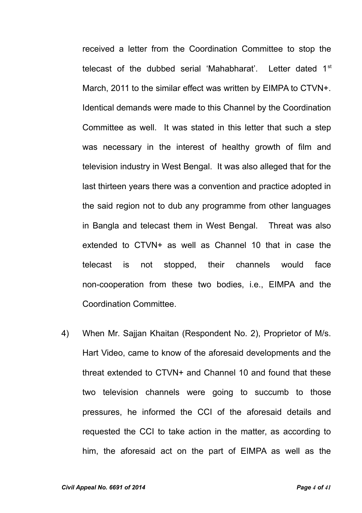received a letter from the Coordination Committee to stop the telecast of the dubbed serial 'Mahabharat'. Letter dated 1st March, 2011 to the similar effect was written by EIMPA to CTVN+. Identical demands were made to this Channel by the Coordination Committee as well. It was stated in this letter that such a step was necessary in the interest of healthy growth of film and television industry in West Bengal. It was also alleged that for the last thirteen years there was a convention and practice adopted in the said region not to dub any programme from other languages in Bangla and telecast them in West Bengal. Threat was also extended to CTVN+ as well as Channel 10 that in case the telecast is not stopped, their channels would face non-cooperation from these two bodies, i.e., EIMPA and the Coordination Committee.

4) When Mr. Sajjan Khaitan (Respondent No. 2), Proprietor of M/s. Hart Video, came to know of the aforesaid developments and the threat extended to CTVN+ and Channel 10 and found that these two television channels were going to succumb to those pressures, he informed the CCI of the aforesaid details and requested the CCI to take action in the matter, as according to him, the aforesaid act on the part of EIMPA as well as the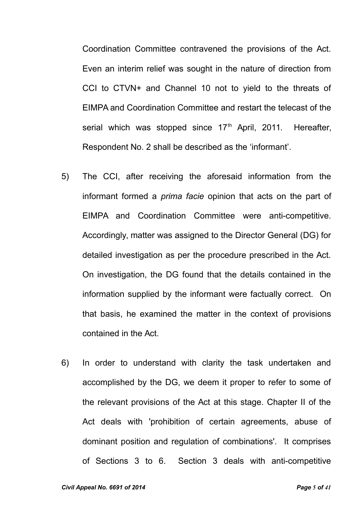Coordination Committee contravened the provisions of the Act. Even an interim relief was sought in the nature of direction from CCI to CTVN+ and Channel 10 not to yield to the threats of EIMPA and Coordination Committee and restart the telecast of the serial which was stopped since 17<sup>th</sup> April, 2011. Hereafter, Respondent No. 2 shall be described as the 'informant'.

- 5) The CCI, after receiving the aforesaid information from the informant formed a *prima facie* opinion that acts on the part of EIMPA and Coordination Committee were anti-competitive. Accordingly, matter was assigned to the Director General (DG) for detailed investigation as per the procedure prescribed in the Act. On investigation, the DG found that the details contained in the information supplied by the informant were factually correct. On that basis, he examined the matter in the context of provisions contained in the Act.
- 6) In order to understand with clarity the task undertaken and accomplished by the DG, we deem it proper to refer to some of the relevant provisions of the Act at this stage. Chapter II of the Act deals with 'prohibition of certain agreements, abuse of dominant position and regulation of combinations'. It comprises of Sections 3 to 6. Section 3 deals with anti-competitive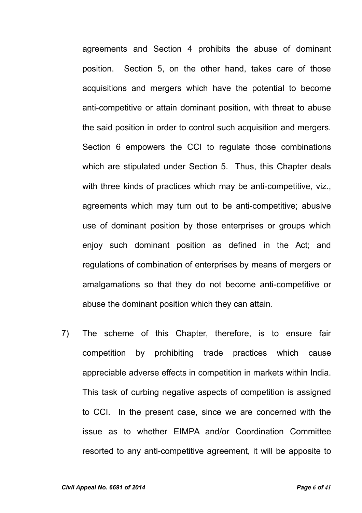agreements and Section 4 prohibits the abuse of dominant position. Section 5, on the other hand, takes care of those acquisitions and mergers which have the potential to become anti-competitive or attain dominant position, with threat to abuse the said position in order to control such acquisition and mergers. Section 6 empowers the CCI to regulate those combinations which are stipulated under Section 5. Thus, this Chapter deals with three kinds of practices which may be anti-competitive, viz., agreements which may turn out to be anti-competitive; abusive use of dominant position by those enterprises or groups which enjoy such dominant position as defined in the Act; and regulations of combination of enterprises by means of mergers or amalgamations so that they do not become anti-competitive or abuse the dominant position which they can attain.

7) The scheme of this Chapter, therefore, is to ensure fair competition by prohibiting trade practices which cause appreciable adverse effects in competition in markets within India. This task of curbing negative aspects of competition is assigned to CCI. In the present case, since we are concerned with the issue as to whether EIMPA and/or Coordination Committee resorted to any anti-competitive agreement, it will be apposite to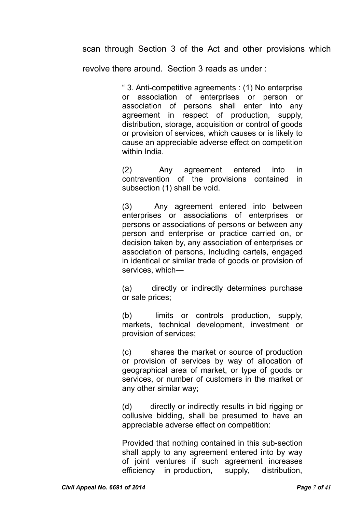scan through Section 3 of the Act and other provisions which

revolve there around. Section 3 reads as under :

" 3. Anti-competitive agreements : (1) No enterprise or association of enterprises or person or association of persons shall enter into any agreement in respect of production, supply, distribution, storage, acquisition or control of goods or provision of services, which causes or is likely to cause an appreciable adverse effect on competition within India.

(2) Any agreement entered into in contravention of the provisions contained in subsection (1) shall be void.

(3) Any agreement entered into between enterprises or associations of enterprises or persons or associations of persons or between any person and enterprise or practice carried on, or decision taken by, any association of enterprises or association of persons, including cartels, engaged in identical or similar trade of goods or provision of services, which—

(a) directly or indirectly determines purchase or sale prices;

(b) limits or controls production, supply, markets, technical development, investment or provision of services;

(c) shares the market or source of production or provision of services by way of allocation of geographical area of market, or type of goods or services, or number of customers in the market or any other similar way;

(d) directly or indirectly results in bid rigging or collusive bidding, shall be presumed to have an appreciable adverse effect on competition:

Provided that nothing contained in this sub-section shall apply to any agreement entered into by way of ioint ventures if such agreement increases efficiency in production, supply, distribution,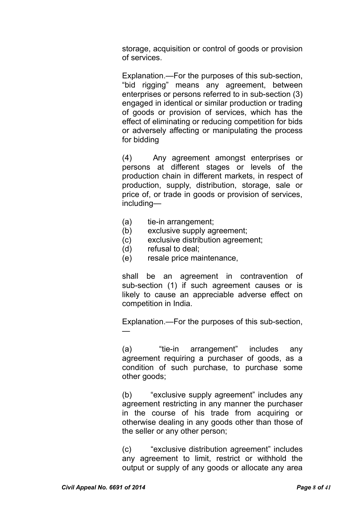storage, acquisition or control of goods or provision of services.

Explanation.—For the purposes of this sub-section, "bid rigging" means any agreement, between enterprises or persons referred to in sub-section (3) engaged in identical or similar production or trading of goods or provision of services, which has the effect of eliminating or reducing competition for bids or adversely affecting or manipulating the process for bidding

(4) Any agreement amongst enterprises or persons at different stages or levels of the production chain in different markets, in respect of production, supply, distribution, storage, sale or price of, or trade in goods or provision of services, including—

- (a) tie-in arrangement;
- (b) exclusive supply agreement;
- (c) exclusive distribution agreement;
- (d) refusal to deal;
- (e) resale price maintenance,

shall be an agreement in contravention of sub-section (1) if such agreement causes or is likely to cause an appreciable adverse effect on competition in India.

Explanation.—For the purposes of this sub-section, —

(a) "tie-in arrangement" includes any agreement requiring a purchaser of goods, as a condition of such purchase, to purchase some other goods;

(b) "exclusive supply agreement" includes any agreement restricting in any manner the purchaser in the course of his trade from acquiring or otherwise dealing in any goods other than those of the seller or any other person;

(c) "exclusive distribution agreement" includes any agreement to limit, restrict or withhold the output or supply of any goods or allocate any area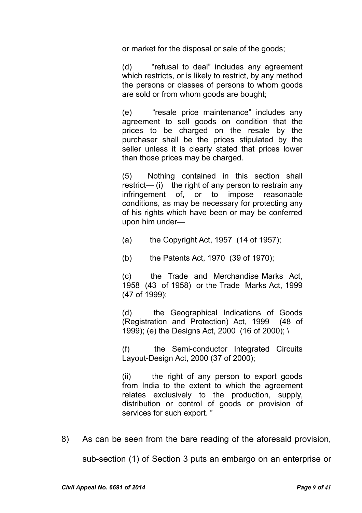or market for the disposal or sale of the goods;

(d) "refusal to deal" includes any agreement which restricts, or is likely to restrict, by any method the persons or classes of persons to whom goods are sold or from whom goods are bought;

(e) "resale price maintenance" includes any agreement to sell goods on condition that the prices to be charged on the resale by the purchaser shall be the prices stipulated by the seller unless it is clearly stated that prices lower than those prices may be charged.

(5) Nothing contained in this section shall restrict— (i) the right of any person to restrain any infringement of, or to impose reasonable conditions, as may be necessary for protecting any of his rights which have been or may be conferred upon him under—

- (a) the Copyright Act, 1957 (14 of 1957);
- (b) the Patents Act, 1970 (39 of 1970);

(c) the Trade and Merchandise Marks Act, 1958 (43 of 1958) or the Trade Marks Act, 1999 (47 of 1999);

(d) the Geographical Indications of Goods (Registration and Protection) Act, 1999 (48 of 1999); (e) the Designs Act, 2000 (16 of 2000); \

(f) the Semi-conductor Integrated Circuits Layout-Design Act, 2000 (37 of 2000);

(ii) the right of any person to export goods from India to the extent to which the agreement relates exclusively to the production, supply, distribution or control of goods or provision of services for such export. "

8) As can be seen from the bare reading of the aforesaid provision,

sub-section (1) of Section 3 puts an embargo on an enterprise or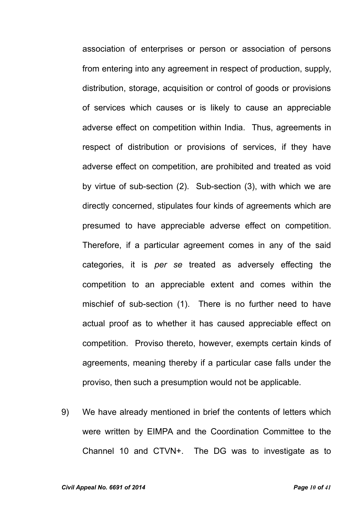association of enterprises or person or association of persons from entering into any agreement in respect of production, supply, distribution, storage, acquisition or control of goods or provisions of services which causes or is likely to cause an appreciable adverse effect on competition within India. Thus, agreements in respect of distribution or provisions of services, if they have adverse effect on competition, are prohibited and treated as void by virtue of sub-section (2). Sub-section (3), with which we are directly concerned, stipulates four kinds of agreements which are presumed to have appreciable adverse effect on competition. Therefore, if a particular agreement comes in any of the said categories, it is *per se* treated as adversely effecting the competition to an appreciable extent and comes within the mischief of sub-section (1). There is no further need to have actual proof as to whether it has caused appreciable effect on competition. Proviso thereto, however, exempts certain kinds of agreements, meaning thereby if a particular case falls under the proviso, then such a presumption would not be applicable.

9) We have already mentioned in brief the contents of letters which were written by EIMPA and the Coordination Committee to the Channel 10 and CTVN+. The DG was to investigate as to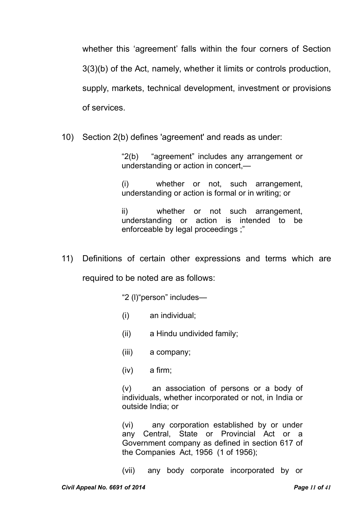whether this 'agreement' falls within the four corners of Section 3(3)(b) of the Act, namely, whether it limits or controls production, supply, markets, technical development, investment or provisions of services.

10) Section 2(b) defines 'agreement' and reads as under:

"2(b) "agreement" includes any arrangement or understanding or action in concert,—

(i) whether or not, such arrangement, understanding or action is formal or in writing; or

ii) whether or not such arrangement, understanding or action is intended to be enforceable by legal proceedings ;"

11) Definitions of certain other expressions and terms which are required to be noted are as follows:

"2 (l)"person" includes—

- (i) an individual;
- (ii) a Hindu undivided family;
- (iii) a company;
- (iv) a firm;

(v) an association of persons or a body of individuals, whether incorporated or not, in India or outside India; or

(vi) any corporation established by or under any Central, State or Provincial Act or a Government company as defined in section 617 of the Companies Act, 1956 (1 of 1956);

(vii) any body corporate incorporated by or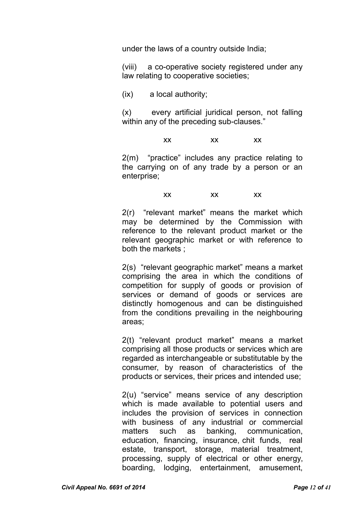under the laws of a country outside India;

(viii) a co-operative society registered under any law relating to cooperative societies;

(ix) a local authority;

(x) every artificial juridical person, not falling within any of the preceding sub-clauses."

xx xx xx

2(m) "practice" includes any practice relating to the carrying on of any trade by a person or an enterprise;

#### xx xx xx

2(r) "relevant market" means the market which may be determined by the Commission with reference to the relevant product market or the relevant geographic market or with reference to both the markets ;

2(s) "relevant geographic market" means a market comprising the area in which the conditions of competition for supply of goods or provision of services or demand of goods or services are distinctly homogenous and can be distinguished from the conditions prevailing in the neighbouring areas;

2(t) "relevant product market" means a market comprising all those products or services which are regarded as interchangeable or substitutable by the consumer, by reason of characteristics of the products or services, their prices and intended use;

2(u) "service" means service of any description which is made available to potential users and includes the provision of services in connection with business of any industrial or commercial matters such as banking, communication, education, financing, insurance, chit funds, real estate, transport, storage, material treatment, processing, supply of electrical or other energy, boarding, lodging, entertainment, amusement,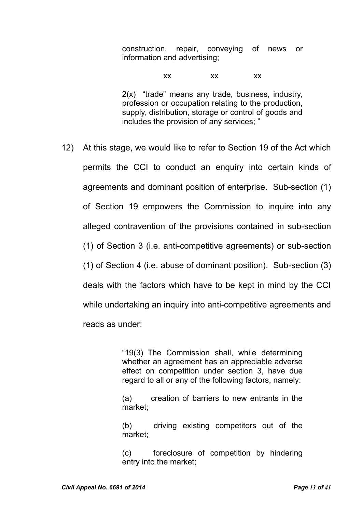construction, repair, conveying of news or information and advertising;

xx xx xx

2(x) "trade" means any trade, business, industry, profession or occupation relating to the production, supply, distribution, storage or control of goods and includes the provision of any services; "

12) At this stage, we would like to refer to Section 19 of the Act which permits the CCI to conduct an enquiry into certain kinds of agreements and dominant position of enterprise. Sub-section (1) of Section 19 empowers the Commission to inquire into any alleged contravention of the provisions contained in sub-section (1) of Section 3 (i.e. anti-competitive agreements) or sub-section (1) of Section 4 (i.e. abuse of dominant position). Sub-section (3) deals with the factors which have to be kept in mind by the CCI while undertaking an inquiry into anti-competitive agreements and reads as under:

> "19(3) The Commission shall, while determining whether an agreement has an appreciable adverse effect on competition under section 3, have due regard to all or any of the following factors, namely:

> (a) creation of barriers to new entrants in the market;

> (b) driving existing competitors out of the market;

> (c) foreclosure of competition by hindering entry into the market;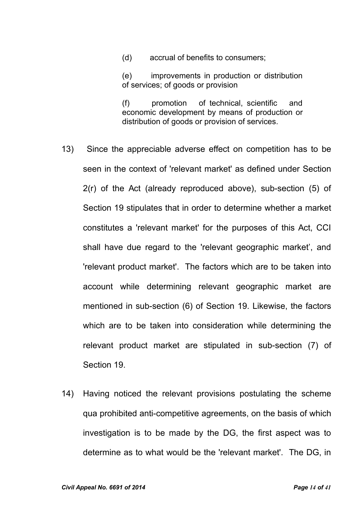(d) accrual of benefits to consumers;

(e) improvements in production or distribution of services; of goods or provision

(f) promotion of technical, scientific and economic development by means of production or distribution of goods or provision of services.

- 13) Since the appreciable adverse effect on competition has to be seen in the context of 'relevant market' as defined under Section 2(r) of the Act (already reproduced above), sub-section (5) of Section 19 stipulates that in order to determine whether a market constitutes a 'relevant market' for the purposes of this Act, CCI shall have due regard to the 'relevant geographic market', and 'relevant product market'. The factors which are to be taken into account while determining relevant geographic market are mentioned in sub-section (6) of Section 19. Likewise, the factors which are to be taken into consideration while determining the relevant product market are stipulated in sub-section (7) of Section 19.
- 14) Having noticed the relevant provisions postulating the scheme qua prohibited anti-competitive agreements, on the basis of which investigation is to be made by the DG, the first aspect was to determine as to what would be the 'relevant market'. The DG, in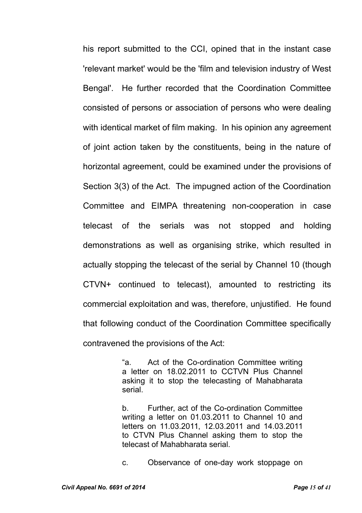his report submitted to the CCI, opined that in the instant case 'relevant market' would be the 'film and television industry of West Bengal'. He further recorded that the Coordination Committee consisted of persons or association of persons who were dealing with identical market of film making. In his opinion any agreement of joint action taken by the constituents, being in the nature of horizontal agreement, could be examined under the provisions of Section 3(3) of the Act. The impugned action of the Coordination Committee and EIMPA threatening non-cooperation in case telecast of the serials was not stopped and holding demonstrations as well as organising strike, which resulted in actually stopping the telecast of the serial by Channel 10 (though CTVN+ continued to telecast), amounted to restricting its commercial exploitation and was, therefore, unjustified. He found that following conduct of the Coordination Committee specifically contravened the provisions of the Act:

> "a. Act of the Co-ordination Committee writing a letter on 18.02.2011 to CCTVN Plus Channel asking it to stop the telecasting of Mahabharata serial.

> b. Further, act of the Co-ordination Committee writing a letter on 01.03.2011 to Channel 10 and letters on 11.03.2011, 12.03.2011 and 14.03.2011 to CTVN Plus Channel asking them to stop the telecast of Mahabharata serial.

> c. Observance of one-day work stoppage on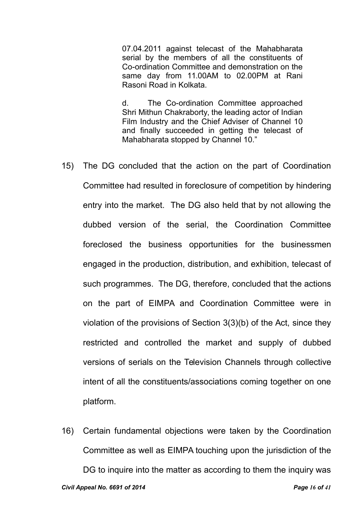07.04.2011 against telecast of the Mahabharata serial by the members of all the constituents of Co-ordination Committee and demonstration on the same day from 11.00AM to 02.00PM at Rani Rasoni Road in Kolkata.

d. The Co-ordination Committee approached Shri Mithun Chakraborty, the leading actor of Indian Film Industry and the Chief Adviser of Channel 10 and finally succeeded in getting the telecast of Mahabharata stopped by Channel 10."

- 15) The DG concluded that the action on the part of Coordination Committee had resulted in foreclosure of competition by hindering entry into the market. The DG also held that by not allowing the dubbed version of the serial, the Coordination Committee foreclosed the business opportunities for the businessmen engaged in the production, distribution, and exhibition, telecast of such programmes. The DG, therefore, concluded that the actions on the part of EIMPA and Coordination Committee were in violation of the provisions of Section 3(3)(b) of the Act, since they restricted and controlled the market and supply of dubbed versions of serials on the Television Channels through collective intent of all the constituents/associations coming together on one platform.
- 16) Certain fundamental objections were taken by the Coordination Committee as well as EIMPA touching upon the jurisdiction of the DG to inquire into the matter as according to them the inquiry was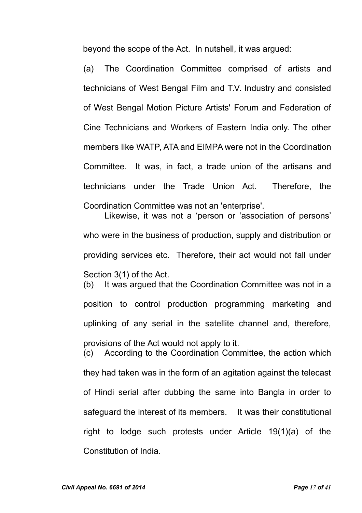beyond the scope of the Act. In nutshell, it was argued:

(a) The Coordination Committee comprised of artists and technicians of West Bengal Film and T.V. Industry and consisted of West Bengal Motion Picture Artists' Forum and Federation of Cine Technicians and Workers of Eastern India only. The other members like WATP, ATA and EIMPA were not in the Coordination Committee. It was, in fact, a trade union of the artisans and technicians under the Trade Union Act. Therefore, the Coordination Committee was not an 'enterprise'.

Likewise, it was not a 'person or 'association of persons' who were in the business of production, supply and distribution or providing services etc. Therefore, their act would not fall under Section 3(1) of the Act. (b) It was argued that the Coordination Committee was not in a position to control production programming marketing and uplinking of any serial in the satellite channel and, therefore, provisions of the Act would not apply to it. (c) According to the Coordination Committee, the action which they had taken was in the form of an agitation against the telecast of Hindi serial after dubbing the same into Bangla in order to safeguard the interest of its members. It was their constitutional right to lodge such protests under Article 19(1)(a) of the Constitution of India.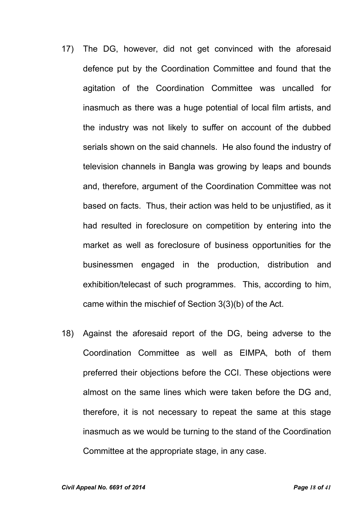- 17) The DG, however, did not get convinced with the aforesaid defence put by the Coordination Committee and found that the agitation of the Coordination Committee was uncalled for inasmuch as there was a huge potential of local film artists, and the industry was not likely to suffer on account of the dubbed serials shown on the said channels. He also found the industry of television channels in Bangla was growing by leaps and bounds and, therefore, argument of the Coordination Committee was not based on facts. Thus, their action was held to be unjustified, as it had resulted in foreclosure on competition by entering into the market as well as foreclosure of business opportunities for the businessmen engaged in the production, distribution and exhibition/telecast of such programmes. This, according to him, came within the mischief of Section 3(3)(b) of the Act.
- 18) Against the aforesaid report of the DG, being adverse to the Coordination Committee as well as EIMPA, both of them preferred their objections before the CCI. These objections were almost on the same lines which were taken before the DG and, therefore, it is not necessary to repeat the same at this stage inasmuch as we would be turning to the stand of the Coordination Committee at the appropriate stage, in any case.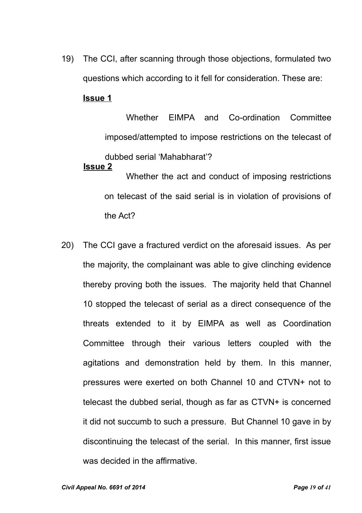19) The CCI, after scanning through those objections, formulated two questions which according to it fell for consideration. These are:

### **Issue 1**

Whether EIMPA and Co-ordination Committee imposed/attempted to impose restrictions on the telecast of dubbed serial 'Mahabharat'? **Issue 2**

Whether the act and conduct of imposing restrictions on telecast of the said serial is in violation of provisions of the Act?

20) The CCI gave a fractured verdict on the aforesaid issues. As per the majority, the complainant was able to give clinching evidence thereby proving both the issues. The majority held that Channel 10 stopped the telecast of serial as a direct consequence of the threats extended to it by EIMPA as well as Coordination Committee through their various letters coupled with the agitations and demonstration held by them. In this manner, pressures were exerted on both Channel 10 and CTVN+ not to telecast the dubbed serial, though as far as CTVN+ is concerned it did not succumb to such a pressure. But Channel 10 gave in by discontinuing the telecast of the serial. In this manner, first issue was decided in the affirmative.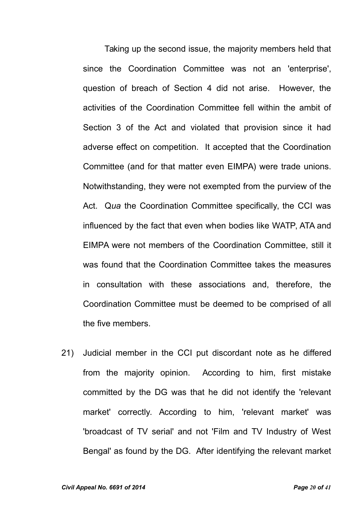Taking up the second issue, the majority members held that since the Coordination Committee was not an 'enterprise', question of breach of Section 4 did not arise. However, the activities of the Coordination Committee fell within the ambit of Section 3 of the Act and violated that provision since it had adverse effect on competition. It accepted that the Coordination Committee (and for that matter even EIMPA) were trade unions. Notwithstanding, they were not exempted from the purview of the Act. Q*ua* the Coordination Committee specifically, the CCI was influenced by the fact that even when bodies like WATP, ATA and EIMPA were not members of the Coordination Committee, still it was found that the Coordination Committee takes the measures in consultation with these associations and, therefore, the Coordination Committee must be deemed to be comprised of all the five members.

21) Judicial member in the CCI put discordant note as he differed from the majority opinion. According to him, first mistake committed by the DG was that he did not identify the 'relevant market' correctly. According to him, 'relevant market' was 'broadcast of TV serial' and not 'Film and TV Industry of West Bengal' as found by the DG. After identifying the relevant market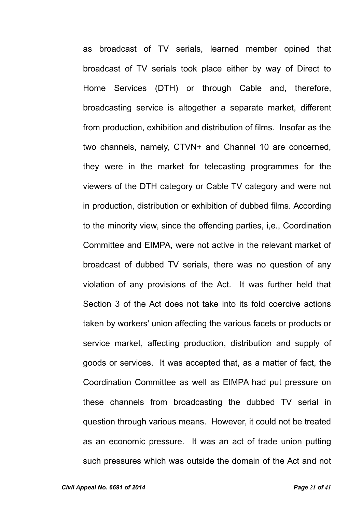as broadcast of TV serials, learned member opined that broadcast of TV serials took place either by way of Direct to Home Services (DTH) or through Cable and, therefore, broadcasting service is altogether a separate market, different from production, exhibition and distribution of films. Insofar as the two channels, namely, CTVN+ and Channel 10 are concerned, they were in the market for telecasting programmes for the viewers of the DTH category or Cable TV category and were not in production, distribution or exhibition of dubbed films. According to the minority view, since the offending parties, i,e., Coordination Committee and EIMPA, were not active in the relevant market of broadcast of dubbed TV serials, there was no question of any violation of any provisions of the Act. It was further held that Section 3 of the Act does not take into its fold coercive actions taken by workers' union affecting the various facets or products or service market, affecting production, distribution and supply of goods or services. It was accepted that, as a matter of fact, the Coordination Committee as well as EIMPA had put pressure on these channels from broadcasting the dubbed TV serial in question through various means. However, it could not be treated as an economic pressure. It was an act of trade union putting such pressures which was outside the domain of the Act and not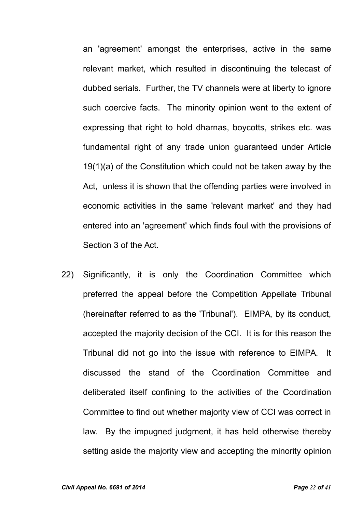an 'agreement' amongst the enterprises, active in the same relevant market, which resulted in discontinuing the telecast of dubbed serials. Further, the TV channels were at liberty to ignore such coercive facts. The minority opinion went to the extent of expressing that right to hold dharnas, boycotts, strikes etc. was fundamental right of any trade union guaranteed under Article 19(1)(a) of the Constitution which could not be taken away by the Act, unless it is shown that the offending parties were involved in economic activities in the same 'relevant market' and they had entered into an 'agreement' which finds foul with the provisions of Section 3 of the Act.

22) Significantly, it is only the Coordination Committee which preferred the appeal before the Competition Appellate Tribunal (hereinafter referred to as the 'Tribunal'). EIMPA, by its conduct, accepted the majority decision of the CCI. It is for this reason the Tribunal did not go into the issue with reference to EIMPA. It discussed the stand of the Coordination Committee and deliberated itself confining to the activities of the Coordination Committee to find out whether majority view of CCI was correct in law. By the impugned judgment, it has held otherwise thereby setting aside the majority view and accepting the minority opinion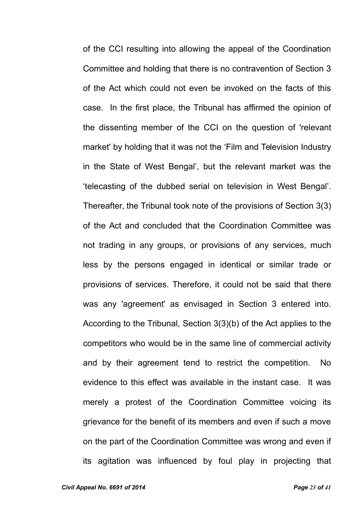of the CCI resulting into allowing the appeal of the Coordination Committee and holding that there is no contravention of Section 3 of the Act which could not even be invoked on the facts of this case. In the first place, the Tribunal has affirmed the opinion of the dissenting member of the CCI on the question of 'relevant market' by holding that it was not the 'Film and Television Industry in the State of West Bengal', but the relevant market was the 'telecasting of the dubbed serial on television in West Bengal'. Thereafter, the Tribunal took note of the provisions of Section 3(3) of the Act and concluded that the Coordination Committee was not trading in any groups, or provisions of any services, much less by the persons engaged in identical or similar trade or provisions of services. Therefore, it could not be said that there was any 'agreement' as envisaged in Section 3 entered into. According to the Tribunal, Section 3(3)(b) of the Act applies to the competitors who would be in the same line of commercial activity and by their agreement tend to restrict the competition. No evidence to this effect was available in the instant case. It was merely a protest of the Coordination Committee voicing its grievance for the benefit of its members and even if such a move on the part of the Coordination Committee was wrong and even if its agitation was influenced by foul play in projecting that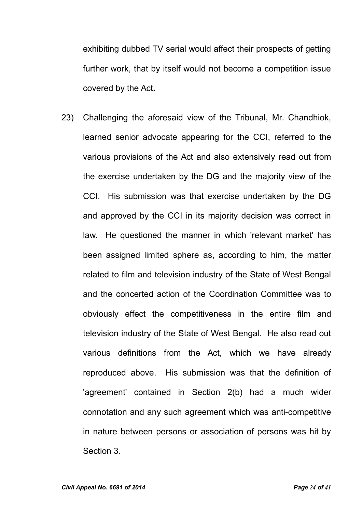exhibiting dubbed TV serial would affect their prospects of getting further work, that by itself would not become a competition issue covered by the Act**.**

23) Challenging the aforesaid view of the Tribunal, Mr. Chandhiok, learned senior advocate appearing for the CCI, referred to the various provisions of the Act and also extensively read out from the exercise undertaken by the DG and the majority view of the CCI. His submission was that exercise undertaken by the DG and approved by the CCI in its majority decision was correct in law. He questioned the manner in which 'relevant market' has been assigned limited sphere as, according to him, the matter related to film and television industry of the State of West Bengal and the concerted action of the Coordination Committee was to obviously effect the competitiveness in the entire film and television industry of the State of West Bengal. He also read out various definitions from the Act, which we have already reproduced above. His submission was that the definition of 'agreement' contained in Section 2(b) had a much wider connotation and any such agreement which was anti-competitive in nature between persons or association of persons was hit by Section 3.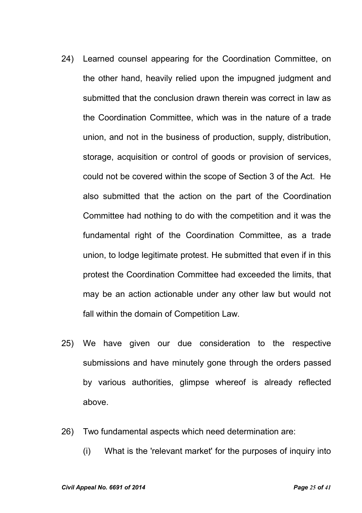- 24) Learned counsel appearing for the Coordination Committee, on the other hand, heavily relied upon the impugned judgment and submitted that the conclusion drawn therein was correct in law as the Coordination Committee, which was in the nature of a trade union, and not in the business of production, supply, distribution, storage, acquisition or control of goods or provision of services, could not be covered within the scope of Section 3 of the Act. He also submitted that the action on the part of the Coordination Committee had nothing to do with the competition and it was the fundamental right of the Coordination Committee, as a trade union, to lodge legitimate protest. He submitted that even if in this protest the Coordination Committee had exceeded the limits, that may be an action actionable under any other law but would not fall within the domain of Competition Law.
- 25) We have given our due consideration to the respective submissions and have minutely gone through the orders passed by various authorities, glimpse whereof is already reflected above.
- 26) Two fundamental aspects which need determination are:
	- (i) What is the 'relevant market' for the purposes of inquiry into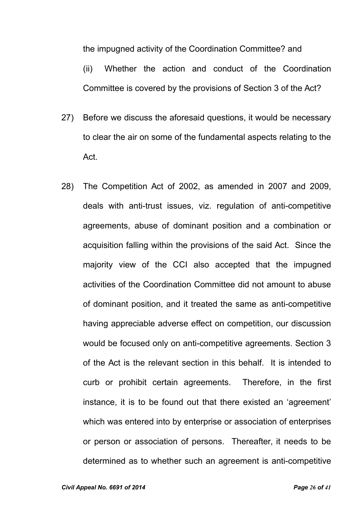the impugned activity of the Coordination Committee? and

(ii) Whether the action and conduct of the Coordination Committee is covered by the provisions of Section 3 of the Act?

- 27) Before we discuss the aforesaid questions, it would be necessary to clear the air on some of the fundamental aspects relating to the Act.
- 28) The Competition Act of 2002, as amended in 2007 and 2009, deals with anti-trust issues, viz. regulation of anti-competitive agreements, abuse of dominant position and a combination or acquisition falling within the provisions of the said Act. Since the majority view of the CCI also accepted that the impugned activities of the Coordination Committee did not amount to abuse of dominant position, and it treated the same as anti-competitive having appreciable adverse effect on competition, our discussion would be focused only on anti-competitive agreements. Section 3 of the Act is the relevant section in this behalf. It is intended to curb or prohibit certain agreements. Therefore, in the first instance, it is to be found out that there existed an 'agreement' which was entered into by enterprise or association of enterprises or person or association of persons. Thereafter, it needs to be determined as to whether such an agreement is anti-competitive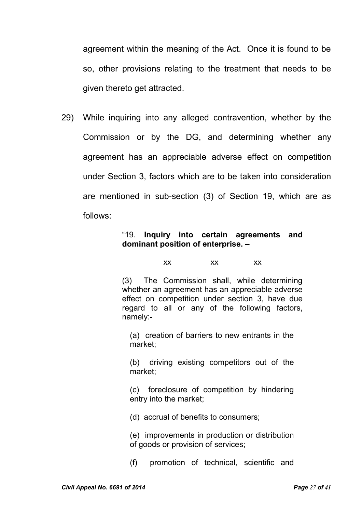agreement within the meaning of the Act. Once it is found to be so, other provisions relating to the treatment that needs to be given thereto get attracted.

29) While inquiring into any alleged contravention, whether by the Commission or by the DG, and determining whether any agreement has an appreciable adverse effect on competition under Section 3, factors which are to be taken into consideration are mentioned in sub-section (3) of Section 19, which are as follows:

### "19. **Inquiry into certain agreements and dominant position of enterprise. –**

### xx xx xx

(3) The Commission shall, while determining whether an agreement has an appreciable adverse effect on competition under section 3, have due regard to all or any of the following factors, namely:-

(a) creation of barriers to new entrants in the market;

(b) driving existing competitors out of the market;

(c) foreclosure of competition by hindering entry into the market;

(d) accrual of benefits to consumers;

(e) improvements in production or distribution of goods or provision of services;

(f) promotion of technical, scientific and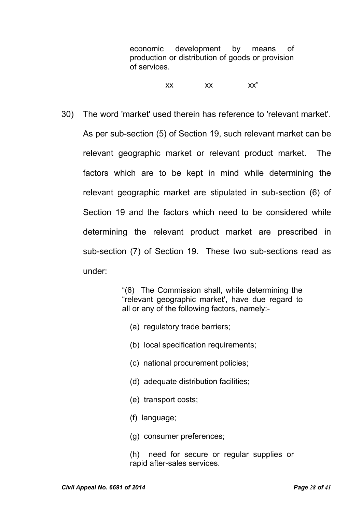economic development by means of production or distribution of goods or provision of services.

xx xx xx"

30) The word 'market' used therein has reference to 'relevant market'. As per sub-section (5) of Section 19, such relevant market can be relevant geographic market or relevant product market. The factors which are to be kept in mind while determining the relevant geographic market are stipulated in sub-section (6) of Section 19 and the factors which need to be considered while determining the relevant product market are prescribed in sub-section (7) of Section 19. These two sub-sections read as under:

> "(6) The Commission shall, while determining the "relevant geographic market', have due regard to all or any of the following factors, namely:-

- (a) regulatory trade barriers;
- (b) local specification requirements;
- (c) national procurement policies;
- (d) adequate distribution facilities;
- (e) transport costs;
- (f) language;
- (g) consumer preferences;
- (h) need for secure or regular supplies or rapid after-sales services.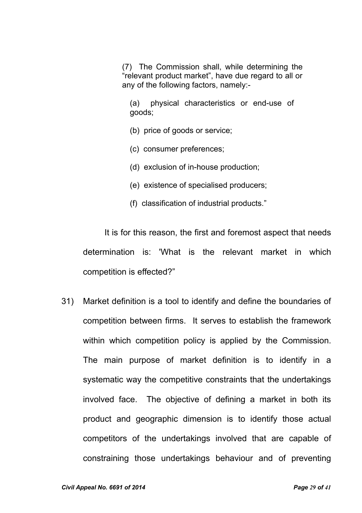(7) The Commission shall, while determining the "relevant product market", have due regard to all or any of the following factors, namely:-

(a) physical characteristics or end-use of goods;

(b) price of goods or service;

(c) consumer preferences;

(d) exclusion of in-house production;

(e) existence of specialised producers;

(f) classification of industrial products."

It is for this reason, the first and foremost aspect that needs determination is: 'What is the relevant market in which competition is effected?"

31) Market definition is a tool to identify and define the boundaries of competition between firms. It serves to establish the framework within which competition policy is applied by the Commission. The main purpose of market definition is to identify in a systematic way the competitive constraints that the undertakings involved face. The objective of defining a market in both its product and geographic dimension is to identify those actual competitors of the undertakings involved that are capable of constraining those undertakings behaviour and of preventing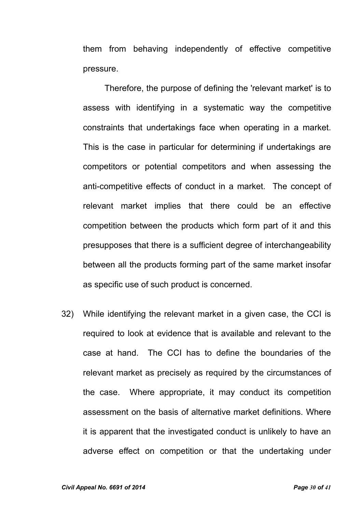them from behaving independently of effective competitive pressure.

Therefore, the purpose of defining the 'relevant market' is to assess with identifying in a systematic way the competitive constraints that undertakings face when operating in a market. This is the case in particular for determining if undertakings are competitors or potential competitors and when assessing the anti-competitive effects of conduct in a market. The concept of relevant market implies that there could be an effective competition between the products which form part of it and this presupposes that there is a sufficient degree of interchangeability between all the products forming part of the same market insofar as specific use of such product is concerned.

32) While identifying the relevant market in a given case, the CCI is required to look at evidence that is available and relevant to the case at hand. The CCI has to define the boundaries of the relevant market as precisely as required by the circumstances of the case. Where appropriate, it may conduct its competition assessment on the basis of alternative market definitions. Where it is apparent that the investigated conduct is unlikely to have an adverse effect on competition or that the undertaking under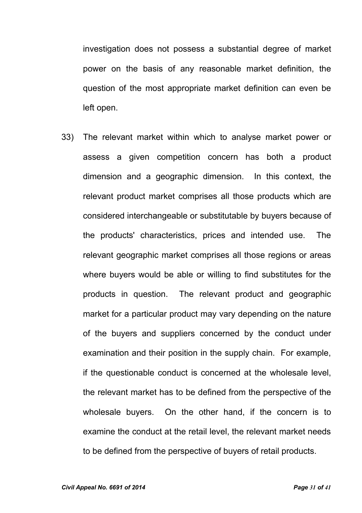investigation does not possess a substantial degree of market power on the basis of any reasonable market definition, the question of the most appropriate market definition can even be left open.

33) The relevant market within which to analyse market power or assess a given competition concern has both a product dimension and a geographic dimension. In this context, the relevant product market comprises all those products which are considered interchangeable or substitutable by buyers because of the products' characteristics, prices and intended use. The relevant geographic market comprises all those regions or areas where buyers would be able or willing to find substitutes for the products in question. The relevant product and geographic market for a particular product may vary depending on the nature of the buyers and suppliers concerned by the conduct under examination and their position in the supply chain. For example, if the questionable conduct is concerned at the wholesale level, the relevant market has to be defined from the perspective of the wholesale buyers. On the other hand, if the concern is to examine the conduct at the retail level, the relevant market needs to be defined from the perspective of buyers of retail products.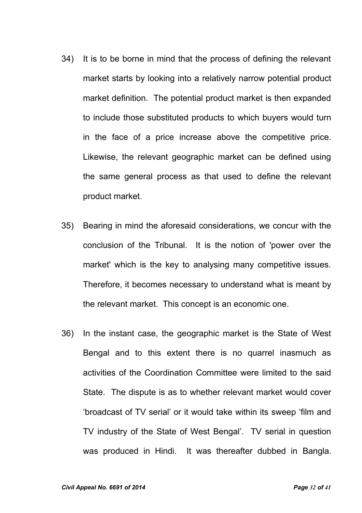- 34) It is to be borne in mind that the process of defining the relevant market starts by looking into a relatively narrow potential product market definition. The potential product market is then expanded to include those substituted products to which buyers would turn in the face of a price increase above the competitive price. Likewise, the relevant geographic market can be defined using the same general process as that used to define the relevant product market.
- 35) Bearing in mind the aforesaid considerations, we concur with the conclusion of the Tribunal. It is the notion of 'power over the market' which is the key to analysing many competitive issues. Therefore, it becomes necessary to understand what is meant by the relevant market. This concept is an economic one.
- 36) In the instant case, the geographic market is the State of West Bengal and to this extent there is no quarrel inasmuch as activities of the Coordination Committee were limited to the said State. The dispute is as to whether relevant market would cover 'broadcast of TV serial' or it would take within its sweep 'film and TV industry of the State of West Bengal'. TV serial in question was produced in Hindi. It was thereafter dubbed in Bangla.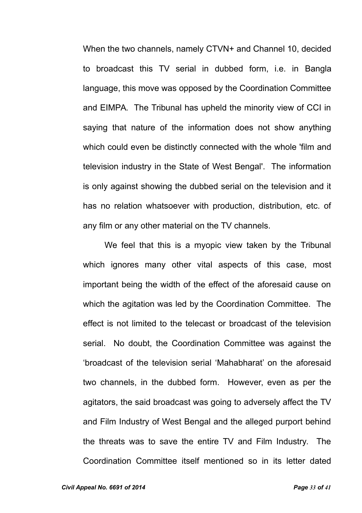When the two channels, namely CTVN+ and Channel 10, decided to broadcast this TV serial in dubbed form, i.e. in Bangla language, this move was opposed by the Coordination Committee and EIMPA. The Tribunal has upheld the minority view of CCI in saying that nature of the information does not show anything which could even be distinctly connected with the whole 'film and television industry in the State of West Bengal'. The information is only against showing the dubbed serial on the television and it has no relation whatsoever with production, distribution, etc. of any film or any other material on the TV channels.

We feel that this is a myopic view taken by the Tribunal which ignores many other vital aspects of this case, most important being the width of the effect of the aforesaid cause on which the agitation was led by the Coordination Committee. The effect is not limited to the telecast or broadcast of the television serial. No doubt, the Coordination Committee was against the 'broadcast of the television serial 'Mahabharat' on the aforesaid two channels, in the dubbed form. However, even as per the agitators, the said broadcast was going to adversely affect the TV and Film Industry of West Bengal and the alleged purport behind the threats was to save the entire TV and Film Industry. The Coordination Committee itself mentioned so in its letter dated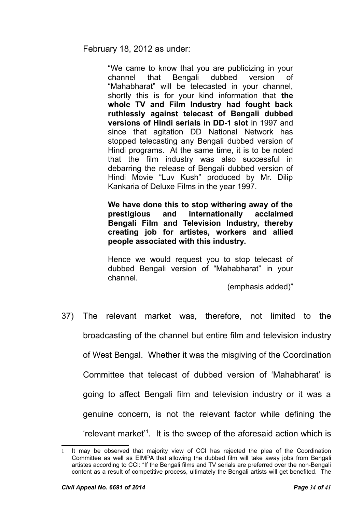February 18, 2012 as under:

"We came to know that you are publicizing in your channel that Bengali dubbed version of "Mahabharat" will be telecasted in your channel, shortly this is for your kind information that **the whole TV and Film Industry had fought back ruthlessly against telecast of Bengali dubbed versions of Hindi serials in DD-1 slot** in 1997 and since that agitation DD National Network has stopped telecasting any Bengali dubbed version of Hindi programs. At the same time, it is to be noted that the film industry was also successful in debarring the release of Bengali dubbed version of Hindi Movie "Luv Kush" produced by Mr. Dilip Kankaria of Deluxe Films in the year 1997.

**We have done this to stop withering away of the prestigious and internationally acclaimed Bengali Film and Television Industry, thereby creating job for artistes, workers and allied people associated with this industry.**

Hence we would request you to stop telecast of dubbed Bengali version of "Mahabharat" in your channel.

(emphasis added)"

37) The relevant market was, therefore, not limited to the

broadcasting of the channel but entire film and television industry

of West Bengal. Whether it was the misgiving of the Coordination

Committee that telecast of dubbed version of 'Mahabharat' is

going to affect Bengali film and television industry or it was a

genuine concern, is not the relevant factor while defining the

'relevant market'[1](#page-33-0) . It is the sweep of the aforesaid action which is

<span id="page-33-0"></span>It may be observed that majority view of CCI has rejected the plea of the Coordination Committee as well as EIMPA that allowing the dubbed film will take away jobs from Bengali artistes according to CCI: "If the Bengali films and TV serials are preferred over the non-Bengali content as a result of competitive process, ultimately the Bengali artists will get benefited. The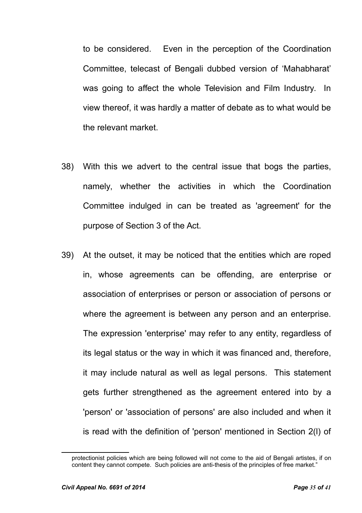to be considered. Even in the perception of the Coordination Committee, telecast of Bengali dubbed version of 'Mahabharat' was going to affect the whole Television and Film Industry. In view thereof, it was hardly a matter of debate as to what would be the relevant market.

- 38) With this we advert to the central issue that bogs the parties, namely, whether the activities in which the Coordination Committee indulged in can be treated as 'agreement' for the purpose of Section 3 of the Act.
- 39) At the outset, it may be noticed that the entities which are roped in, whose agreements can be offending, are enterprise or association of enterprises or person or association of persons or where the agreement is between any person and an enterprise. The expression 'enterprise' may refer to any entity, regardless of its legal status or the way in which it was financed and, therefore, it may include natural as well as legal persons. This statement gets further strengthened as the agreement entered into by a 'person' or 'association of persons' are also included and when it is read with the definition of 'person' mentioned in Section 2(l) of

protectionist policies which are being followed will not come to the aid of Bengali artistes, if on content they cannot compete. Such policies are anti-thesis of the principles of free market."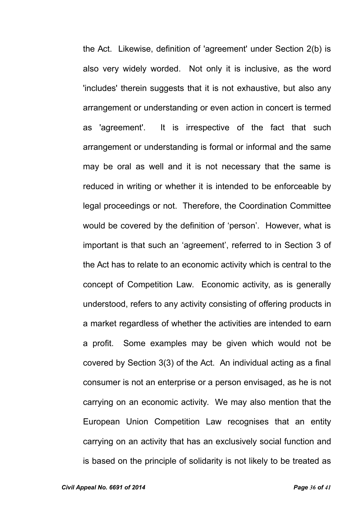the Act. Likewise, definition of 'agreement' under Section 2(b) is also very widely worded. Not only it is inclusive, as the word 'includes' therein suggests that it is not exhaustive, but also any arrangement or understanding or even action in concert is termed as 'agreement'. It is irrespective of the fact that such arrangement or understanding is formal or informal and the same may be oral as well and it is not necessary that the same is reduced in writing or whether it is intended to be enforceable by legal proceedings or not. Therefore, the Coordination Committee would be covered by the definition of 'person'. However, what is important is that such an 'agreement', referred to in Section 3 of the Act has to relate to an economic activity which is central to the concept of Competition Law. Economic activity, as is generally understood, refers to any activity consisting of offering products in a market regardless of whether the activities are intended to earn a profit. Some examples may be given which would not be covered by Section 3(3) of the Act. An individual acting as a final consumer is not an enterprise or a person envisaged, as he is not carrying on an economic activity. We may also mention that the European Union Competition Law recognises that an entity carrying on an activity that has an exclusively social function and is based on the principle of solidarity is not likely to be treated as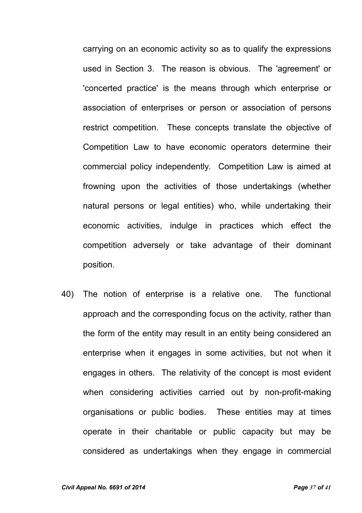carrying on an economic activity so as to qualify the expressions used in Section 3. The reason is obvious. The 'agreement' or 'concerted practice' is the means through which enterprise or association of enterprises or person or association of persons restrict competition. These concepts translate the objective of Competition Law to have economic operators determine their commercial policy independently. Competition Law is aimed at frowning upon the activities of those undertakings (whether natural persons or legal entities) who, while undertaking their economic activities, indulge in practices which effect the competition adversely or take advantage of their dominant position.

40) The notion of enterprise is a relative one. The functional approach and the corresponding focus on the activity, rather than the form of the entity may result in an entity being considered an enterprise when it engages in some activities, but not when it engages in others. The relativity of the concept is most evident when considering activities carried out by non-profit-making organisations or public bodies. These entities may at times operate in their charitable or public capacity but may be considered as undertakings when they engage in commercial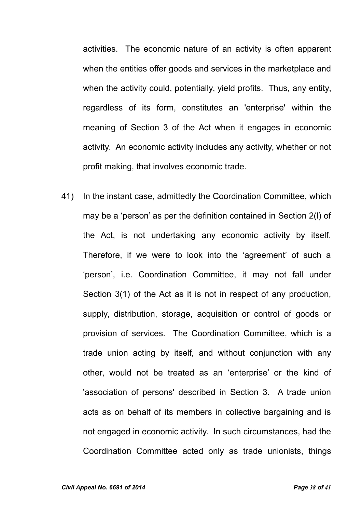activities. The economic nature of an activity is often apparent when the entities offer goods and services in the marketplace and when the activity could, potentially, yield profits. Thus, any entity, regardless of its form, constitutes an 'enterprise' within the meaning of Section 3 of the Act when it engages in economic activity. An economic activity includes any activity, whether or not profit making, that involves economic trade.

41) In the instant case, admittedly the Coordination Committee, which may be a 'person' as per the definition contained in Section 2(l) of the Act, is not undertaking any economic activity by itself. Therefore, if we were to look into the 'agreement' of such a 'person', i.e. Coordination Committee, it may not fall under Section 3(1) of the Act as it is not in respect of any production, supply, distribution, storage, acquisition or control of goods or provision of services. The Coordination Committee, which is a trade union acting by itself, and without conjunction with any other, would not be treated as an 'enterprise' or the kind of 'association of persons' described in Section 3. A trade union acts as on behalf of its members in collective bargaining and is not engaged in economic activity. In such circumstances, had the Coordination Committee acted only as trade unionists, things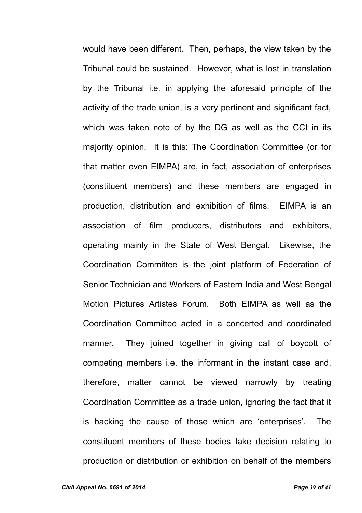would have been different. Then, perhaps, the view taken by the Tribunal could be sustained. However, what is lost in translation by the Tribunal i.e. in applying the aforesaid principle of the activity of the trade union, is a very pertinent and significant fact, which was taken note of by the DG as well as the CCI in its majority opinion. It is this: The Coordination Committee (or for that matter even EIMPA) are, in fact, association of enterprises (constituent members) and these members are engaged in production, distribution and exhibition of films. EIMPA is an association of film producers, distributors and exhibitors, operating mainly in the State of West Bengal. Likewise, the Coordination Committee is the joint platform of Federation of Senior Technician and Workers of Eastern India and West Bengal Motion Pictures Artistes Forum. Both EIMPA as well as the Coordination Committee acted in a concerted and coordinated manner. They joined together in giving call of boycott of competing members i.e. the informant in the instant case and, therefore, matter cannot be viewed narrowly by treating Coordination Committee as a trade union, ignoring the fact that it is backing the cause of those which are 'enterprises'. The constituent members of these bodies take decision relating to production or distribution or exhibition on behalf of the members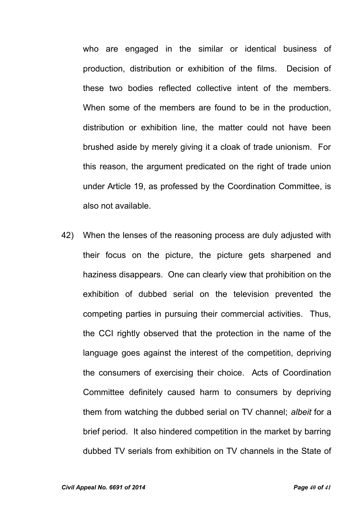who are engaged in the similar or identical business of production, distribution or exhibition of the films. Decision of these two bodies reflected collective intent of the members. When some of the members are found to be in the production, distribution or exhibition line, the matter could not have been brushed aside by merely giving it a cloak of trade unionism. For this reason, the argument predicated on the right of trade union under Article 19, as professed by the Coordination Committee, is also not available.

42) When the lenses of the reasoning process are duly adjusted with their focus on the picture, the picture gets sharpened and haziness disappears. One can clearly view that prohibition on the exhibition of dubbed serial on the television prevented the competing parties in pursuing their commercial activities. Thus, the CCI rightly observed that the protection in the name of the language goes against the interest of the competition, depriving the consumers of exercising their choice. Acts of Coordination Committee definitely caused harm to consumers by depriving them from watching the dubbed serial on TV channel; *albeit* for a brief period. It also hindered competition in the market by barring dubbed TV serials from exhibition on TV channels in the State of